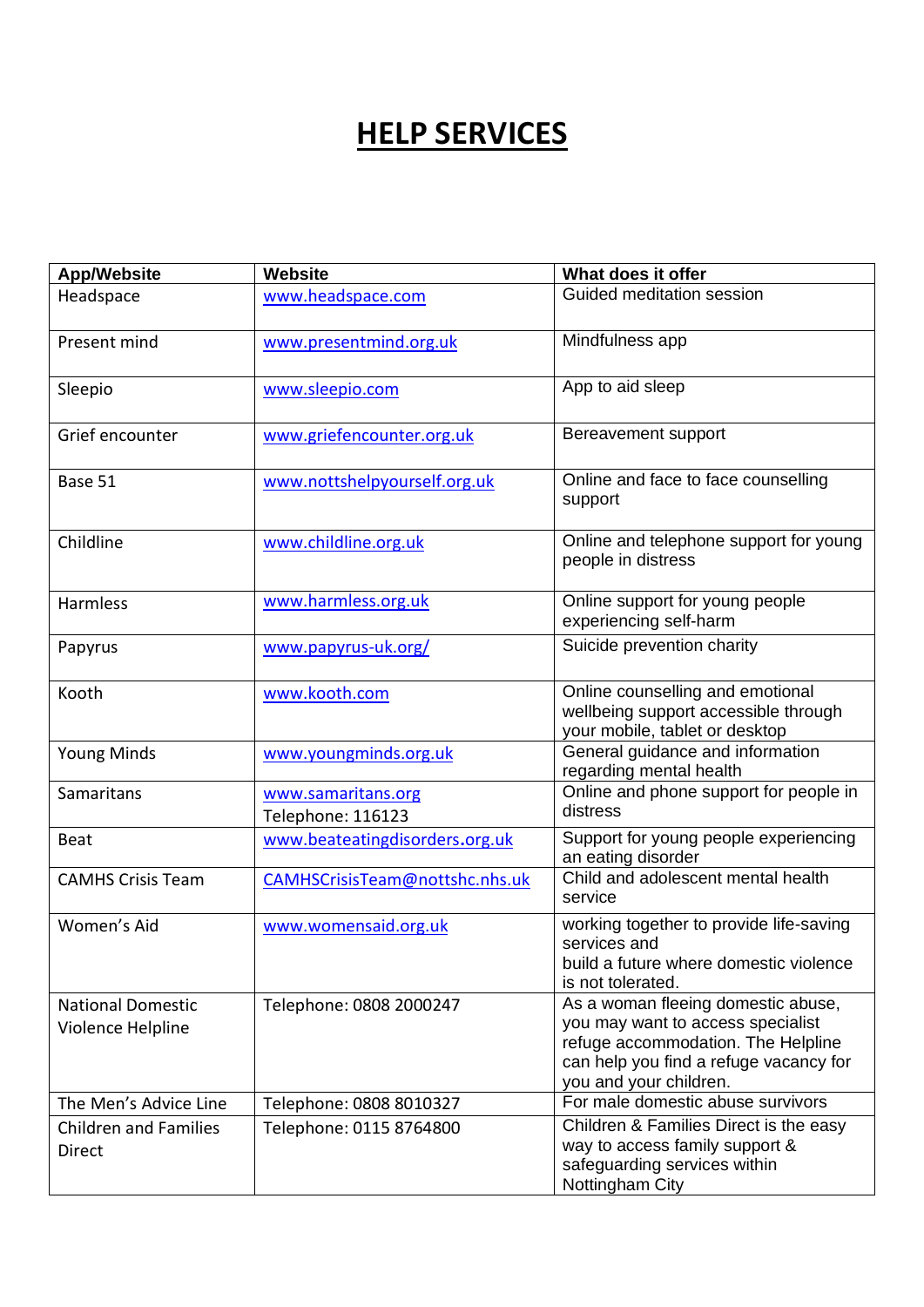## **HELP SERVICES**

| <b>App/Website</b>                            | Website                                 | What does it offer                                                                                                                                                                |
|-----------------------------------------------|-----------------------------------------|-----------------------------------------------------------------------------------------------------------------------------------------------------------------------------------|
| Headspace                                     | www.headspace.com                       | Guided meditation session                                                                                                                                                         |
| Present mind                                  | www.presentmind.org.uk                  | Mindfulness app                                                                                                                                                                   |
| Sleepio                                       | www.sleepio.com                         | App to aid sleep                                                                                                                                                                  |
| Grief encounter                               | www.griefencounter.org.uk               | Bereavement support                                                                                                                                                               |
| Base 51                                       | www.nottshelpyourself.org.uk            | Online and face to face counselling<br>support                                                                                                                                    |
| Childline                                     | www.childline.org.uk                    | Online and telephone support for young<br>people in distress                                                                                                                      |
| <b>Harmless</b>                               | www.harmless.org.uk                     | Online support for young people<br>experiencing self-harm                                                                                                                         |
| Papyrus                                       | www.papyrus-uk.org/                     | Suicide prevention charity                                                                                                                                                        |
| Kooth                                         | www.kooth.com                           | Online counselling and emotional<br>wellbeing support accessible through<br>your mobile, tablet or desktop                                                                        |
| <b>Young Minds</b>                            | www.youngminds.org.uk                   | General guidance and information<br>regarding mental health                                                                                                                       |
| Samaritans                                    | www.samaritans.org<br>Telephone: 116123 | Online and phone support for people in<br>distress                                                                                                                                |
| <b>Beat</b>                                   | www.beateatingdisorders.org.uk          | Support for young people experiencing<br>an eating disorder                                                                                                                       |
| <b>CAMHS Crisis Team</b>                      | CAMHSCrisisTeam@nottshc.nhs.uk          | Child and adolescent mental health<br>service                                                                                                                                     |
| Women's Aid                                   | www.womensaid.org.uk                    | working together to provide life-saving<br>services and<br>build a future where domestic violence<br>is not tolerated.                                                            |
| <b>National Domestic</b><br>Violence Helpline | Telephone: 0808 2000247                 | As a woman fleeing domestic abuse,<br>you may want to access specialist<br>refuge accommodation. The Helpline<br>can help you find a refuge vacancy for<br>you and your children. |
| The Men's Advice Line                         | Telephone: 0808 8010327                 | For male domestic abuse survivors                                                                                                                                                 |
| <b>Children and Families</b><br>Direct        | Telephone: 0115 8764800                 | Children & Families Direct is the easy<br>way to access family support &<br>safeguarding services within<br>Nottingham City                                                       |